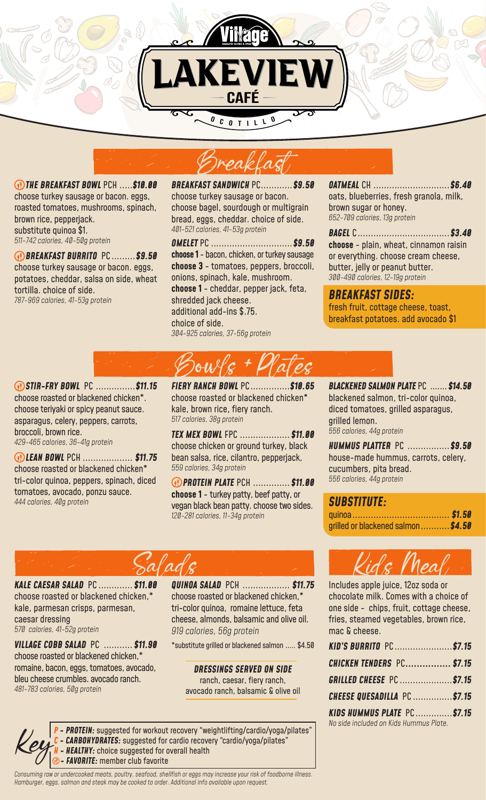



 *BREAKFAST BURRITO* PC .........*\$9.50* choose turkey sausage or bacon. eggs, potatoes, cheddar, salsa on side, wheat tortilla. choice of side. *787-969 calories, 41-53g protein*

*BREAKFAST SANDWICH* PC............*\$9.50* choose turkey sausage or bacon. choose bagel, sourdough or multigrain bread, eggs, cheddar. choice of side. *401-521 calories, 41-53g protein* Breakfast

*OMELET* PC ...............................*\$9.50* **choose 1** - bacon, chicken, or turkey sausage **choose 3** - tomatoes, peppers, broccoli, onions, spinach, kale, mushroom. **choose 1** - cheddar, pepper jack, feta, shredded jack cheese. additional add-ins \$.75. choice of side. *304-925 calories, 37-56g protein*

*OATMEAL* CH .............................*\$6.40* oats, blueberries, fresh granola, milk, brown sugar or honey. *652-709 calories, 13g protein* 

*BAGEL* C...................................*\$3.40* **choose** - plain, wheat, cinnamon raisin or everything. choose cream cheese, butter, jelly or peanut butter. *300-490 calories, 12-19g protein*

*BREAKFAST SIDES:*  fresh fruit, cottage cheese, toast, breakfast potatoes. add avocado \$1

 *STIR-FRY BOWL* PC ...............*\$11.15* choose roasted or blackened chicken\*. choose teriyaki or spicy peanut sauce. asparagus, celery, peppers, carrots, broccoli, brown rice.

*429-465 calories, 36-41g protein*

 *LEAN BOWL* PCH ................... *\$11.75* choose roasted or blackened chicken\* tri-color quinoa, peppers, spinach, diced tomatoes, avocado, ponzu sauce. *444 calories, 40g protein* 

*FIERY RANCH BOWL* PC...............*\$10.65* Bowls + Plates

choose roasted or blackened chicken\* kale, brown rice, fiery ranch. *517 calories, 38g protein*

*TEX MEX BOWL* FPC ................... *\$11.00* choose chicken or ground turkey, black bean salsa, rice, cilantro, pepperjack, *559 calories, 34g protein*

 *PROTEIN PLATE* PCH .............. *\$11.00* **choose 1** - turkey patty, beef patty, or vegan black bean patty. choose two sides. *120-281 calories, 11-34g protein*

*BLACKENED SALMON PLATE* PC ....... *\$14.50* blackened salmon, tri-color quinoa, diced tomatoes, grilled asparagus, grilled lemon. *556 calories, 44g protein*

*HUMMUS PLATTER* PC ................*\$9.50*  house-made hummus, carrots, celery, cucumbers, pita bread. *556 calories, 44g protein*

*SUBSTITUTE:*  quinoa..................................... *\$1.50* grilled or blackened salmon...........*\$4.50*

# Salads

*KALE CAESAR SALAD* PC ............. *\$11.00*  choose roasted or blackened chicken,\* kale, parmesan crisps, parmesan, caesar dressing *570 calories, 41-52g protein*

*VILLAGE COBB SALAD* PC ........... *\$11.90* choose roasted or blackened chicken,\* romaine, bacon, eggs, tomatoes, avocado, bleu cheese crumbles. avocado ranch. *481-783 calories, 50g protein*

*QUINOA SALAD* PCH .................. *\$11.75* choose roasted or blackened chicken,\* tri-color quinoa, romaine lettuce, feta cheese, almonds, balsamic and olive oil. *919 calories, 56g protein*

\*substitute grilled or blackened salmon ..... \$4.50

*DRESSINGS SERVED ON SIDE*  ranch, caesar, fiery ranch, avocado ranch, balsamic & olive oil

*P - PROTEIN:* suggested for workout recovery "weightlifting/cardio/yoga/pilates" - **CARBOHYDRATES:** suggested for cardio recovery "cardio/yoga/pilates" **- HEALTHY:** choice suggested for overall health *<sup>0</sup> - FAVORITE: member club favorite* 

*Consuming raw or undercooked meats, poultry, seafood, shellfish or eggs may increase your risk of foodborne illness. Hamburger, eggs, salmon and steak may be cooked to order. Additional info available upon request.*



Includes apple juice, 12oz soda or chocolate milk. Comes with a choice of one side - chips, fruit, cottage cheese, fries, steamed vegetables, brown rice, mac & cheese.

| <b>KID'S BURRITO PC\$7.15</b>          |  |
|----------------------------------------|--|
| <b>CHICKEN TENDERS PC\$7.15</b>        |  |
| <b>GRILLED CHEESE PC \$7.15</b>        |  |
| <b>CHEESE QUESADILLA PC \$7.15</b>     |  |
| KIDS HUMMUS PLATE PC\$7.15             |  |
| No side included on Kids Hummus Plate. |  |